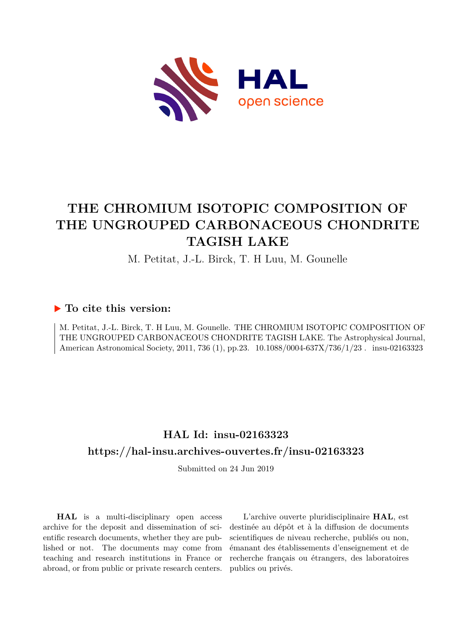

# **THE CHROMIUM ISOTOPIC COMPOSITION OF THE UNGROUPED CARBONACEOUS CHONDRITE TAGISH LAKE**

M. Petitat, J.-L. Birck, T. H Luu, M. Gounelle

### **To cite this version:**

M. Petitat, J.-L. Birck, T. H Luu, M. Gounelle. THE CHROMIUM ISOTOPIC COMPOSITION OF THE UNGROUPED CARBONACEOUS CHONDRITE TAGISH LAKE. The Astrophysical Journal, American Astronomical Society, 2011, 736 (1), pp.23. 10.1088/0004-637X/736/1/23. insu-02163323

## **HAL Id: insu-02163323 <https://hal-insu.archives-ouvertes.fr/insu-02163323>**

Submitted on 24 Jun 2019

**HAL** is a multi-disciplinary open access archive for the deposit and dissemination of scientific research documents, whether they are published or not. The documents may come from teaching and research institutions in France or abroad, or from public or private research centers.

L'archive ouverte pluridisciplinaire **HAL**, est destinée au dépôt et à la diffusion de documents scientifiques de niveau recherche, publiés ou non, émanant des établissements d'enseignement et de recherche français ou étrangers, des laboratoires publics ou privés.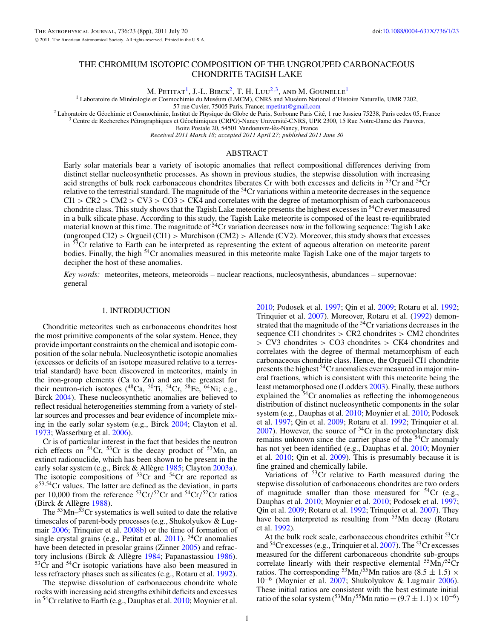#### THE CHROMIUM ISOTOPIC COMPOSITION OF THE UNGROUPED CARBONACEOUS CHONDRITE TAGISH LAKE

M. PETITAT<sup>1</sup>, J.-L. BIRCK<sup>2</sup>, T. H. LUU<sup>2,3</sup>, AND M. GOUNELLE<sup>1</sup>

<sup>1</sup> Laboratoire de Minéralogie et Cosmochimie du Muséum (LMCM), CNRS and Muséum National d'Histoire Naturelle, UMR 7202, 57 rue Cuvier, 75005 Paris, France; mpetitat@gmail.com

<sup>2</sup> Laboratoire de Géochimie et Cosmochimie, Institut de Physique du Globe de Paris, Sorbonne Paris Cité, 1 rue Jussieu 75238, Paris cedex 05, France  $\frac{3}{1}$  Centre de Recherches Pétrographiques et Géochimiques (CRPG)-N

Boite Postale 20, 54501 Vandoeuvre-lès-Nancy, France

*Received 2011 March 18; accepted 2011 April 27; published 2011 June 30*

#### ABSTRACT

Early solar materials bear a variety of isotopic anomalies that reflect compositional differences deriving from distinct stellar nucleosynthetic processes. As shown in previous studies, the stepwise dissolution with increasing acid strengths of bulk rock carbonaceous chondrites liberates Cr with both excesses and deficits in  ${}^{53}Cr$  and  ${}^{54}Cr$ relative to the terrestrial standard. The magnitude of the <sup>54</sup>Cr variations within a meteorite decreases in the sequence CI1 *>* CR2 *>* CM2 *>* CV3 *>* CO3 *>* CK4 and correlates with the degree of metamorphism of each carbonaceous chondrite class. This study shows that the Tagish Lake meteorite presents the highest excesses in  $54$ Cr ever measured in a bulk silicate phase. According to this study, the Tagish Lake meteorite is composed of the least re-equilibrated material known at this time. The magnitude of  $54$ Cr variation decreases now in the following sequence: Tagish Lake (ungrouped CI2) *>* Orgueil (CI1) *>* Murchison (CM2) *>* Allende (CV2). Moreover, this study shows that excesses in <sup>53</sup>Cr relative to Earth can be interpreted as representing the extent of aqueous alteration on meteorite parent bodies. Finally, the high 54Cr anomalies measured in this meteorite make Tagish Lake one of the major targets to decipher the host of these anomalies.

*Key words:* meteorites, meteors, meteoroids – nuclear reactions, nucleosynthesis, abundances – supernovae: general

#### 1. INTRODUCTION

Chondritic meteorites such as carbonaceous chondrites host the most primitive components of the solar system. Hence, they provide important constraints on the chemical and isotopic composition of the solar nebula. Nucleosynthetic isotopic anomalies (excesses or deficits of an isotope measured relative to a terrestrial standard) have been discovered in meteorites, mainly in the iron-group elements (Ca to Zn) and are the greatest for their neutron-rich isotopes  $(^{48}Ca, ^{50}Ti, ^{54}Cr, ^{58}Fe, ^{64}Ni; e.g.,$ Birck 2004). These nucleosynthetic anomalies are believed to reflect residual heterogeneities stemming from a variety of stellar sources and processes and bear evidence of incomplete mixing in the early solar system (e.g., Birck 2004; Clayton et al. 1973; Wasserburg et al. 2006).

Cr is of particular interest in the fact that besides the neutron rich effects on  ${}^{54}Cr$ ,  ${}^{53}Cr$  is the decay product of  ${}^{53}Mn$ , an extinct radionuclide, which has been shown to be present in the early solar system (e.g., Birck & Allègre 1985; Clayton 2003a). The isotopic compositions of  $53Cr$  and  $54Cr$  are reported as  $\varepsilon^{53,54}$ Cr values. The latter are defined as the deviation, in parts per 10,000 from the reference 53Cr*/*52Cr and 54Cr*/*52Cr ratios (Birck  $&$  Allègre 1988).

The  $53$ Mn– $53$ Cr systematics is well suited to date the relative timescales of parent-body processes (e.g., Shukolyukov & Lugmair 2006; Trinquier et al. 2008b) or the time of formation of single crystal grains (e.g., Petitat et al.  $2011$ ). <sup>54</sup>Cr anomalies have been detected in presolar grains (Zinner 2005) and refractory inclusions (Birck & Allègre 1984; Papanastassiou 1986).  $53<sup>53</sup>$ Cr and  $54<sup>54</sup>$ Cr isotopic variations have also been measured in less refractory phases such as silicates (e.g., Rotaru et al. 1992).

The stepwise dissolution of carbonaceous chondrite whole rocks with increasing acid strengths exhibit deficits and excesses in  ${}^{54}$ Cr relative to Earth (e.g., Dauphas et al. 2010; Moynier et al.

2010; Podosek et al. 1997; Qin et al. 2009; Rotaru et al. 1992; Trinquier et al. 2007). Moreover, Rotaru et al. (1992) demonstrated that the magnitude of the <sup>54</sup>Cr variations decreases in the sequence CI1 chondrites *>* CR2 chondrites *>* CM2 chondrites *>* CV3 chondrites *>* CO3 chondrites *>* CK4 chondrites and correlates with the degree of thermal metamorphism of each carbonaceous chondrite class. Hence, the Orgueil CI1 chondrite presents the highest 54Cr anomalies ever measured in major mineral fractions, which is consistent with this meteorite being the least metamorphosed one (Lodders 2003). Finally, these authors explained the <sup>54</sup>Cr anomalies as reflecting the inhomogeneous distribution of distinct nucleosynthetic components in the solar system (e.g., Dauphas et al. 2010; Moynier et al. 2010; Podosek et al. 1997; Qin et al. 2009; Rotaru et al. 1992; Trinquier et al.  $2007$ ). However, the source of  $54$ Cr in the protoplanetary disk remains unknown since the carrier phase of the  $54$ Cr anomaly has not yet been identified (e.g., Dauphas et al. 2010; Moynier et al. 2010; Qin et al. 2009). This is presumably because it is fine grained and chemically labile.

Variations of  $53Cr$  relative to Earth measured during the stepwise dissolution of carbonaceous chondrites are two orders of magnitude smaller than those measured for  $54Cr$  (e.g., Dauphas et al. 2010; Moynier et al. 2010; Podosek et al. 1997; Qin et al. 2009; Rotaru et al. 1992; Trinquier et al. 2007). They have been interpreted as resulting from  $53$ Mn decay (Rotaru et al. 1992).

At the bulk rock scale, carbonaceous chondrites exhibit  $53Cr$ and  $54$ Cr excesses (e.g., Trinquier et al. 2007). The  $53$ Cr excesses measured for the different carbonaceous chondrite sub-groups correlate linearly with their respective elemental 55Mn*/*52Cr ratios. The corresponding <sup>53</sup>Mn/<sup>55</sup>Mn ratios are  $(8.5 \pm 1.5) \times$ 10−<sup>6</sup> (Moynier et al. 2007; Shukolyukov & Lugmair 2006). These initial ratios are consistent with the best estimate initial ratio of the solar system  $(5^{3}$ Mn/<sup>55</sup>Mn ratio =  $(9.7 \pm 1.1) \times 10^{-6}$ )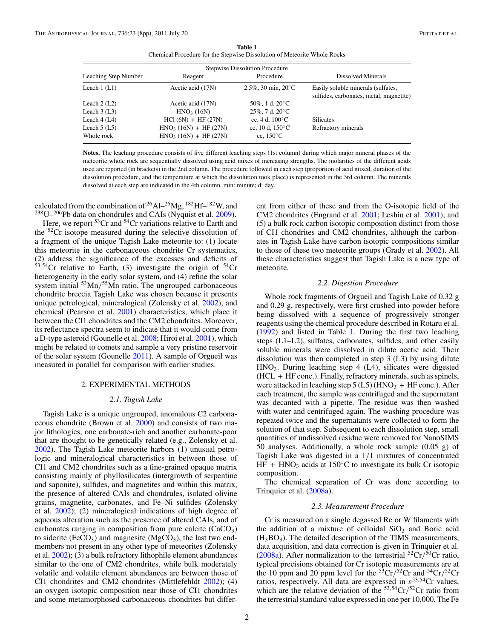**Table 1** Chemical Procedure for the Stepwise Dissolution of Meteorite Whole Rocks

| <b>Stepwise Dissolution Procedure</b> |                         |                              |                                                                               |  |  |  |  |
|---------------------------------------|-------------------------|------------------------------|-------------------------------------------------------------------------------|--|--|--|--|
| Leaching Step Number                  | Reagent                 | Procedure                    | Dissolved Minerals                                                            |  |  |  |  |
| Leach $1$ (L1)                        | Acetic acid (17N)       | 2.5%, 30 min, $20^{\circ}$ C | Easily soluble minerals (sulfates,<br>sulfides, carbonates, metal, magnetite) |  |  |  |  |
| Leach $2$ (L2)                        | Acetic acid (17N)       | 50\%, 1 d, $20\degree$ C     |                                                                               |  |  |  |  |
| Leach $3(L3)$                         | HNO <sub>3</sub> (16N)  | $25\%$ , 7 d, $20^{\circ}$ C |                                                                               |  |  |  |  |
| Leach $4(L4)$                         | $HC1 (6N) + HF (27N)$   | cc. 4 d. $100^{\circ}$ C     | <b>Silicates</b>                                                              |  |  |  |  |
| Leach $5(L5)$                         | $HNO3 (16N) + HF (27N)$ | cc, 10 d, $150^{\circ}$ C    | Refractory minerals                                                           |  |  |  |  |
| Whole rock                            | $HNO3 (16N) + HF (27N)$ | cc, $150^{\circ}$ C          |                                                                               |  |  |  |  |

**Notes.** The leaching procedure consists of five different leaching steps (1st column) during which major mineral phases of the meteorite whole rock are sequentially dissolved using acid mixes of increasing strengths. The molarities of the different acids used are reported (in brackets) in the 2nd column. The procedure followed in each step (proportion of acid mixed, duration of the dissolution procedure, and the temperature at which the dissolution took place) is represented in the 3rd column. The minerals dissolved at each step are indicated in the 4th column. min: minute; d: day.

calculated from the combination of  $^{26}$ Al– $^{26}$ Mg,  $^{182}$ Hf– $^{182}$ W, and  $238$ U $-206$ Pb data on chondrules and CAIs (Nyquist et al. 2009).

Here, we report  ${}^{53}Cr$  and  ${}^{54}Cr$  variations relative to Earth and the  $52Cr$  isotope measured during the selective dissolution of a fragment of the unique Tagish Lake meteorite to: (1) locate this meteorite in the carbonaceous chondrite Cr systematics, (2) address the significance of the excesses and deficits of  $53,54$ Cr relative to Earth, (3) investigate the origin of  $54$ Cr heterogeneity in the early solar system, and (4) refine the solar system initial 53Mn*/*55Mn ratio. The ungrouped carbonaceous chondrite breccia Tagish Lake was chosen because it presents unique petrological, mineralogical (Zolensky et al. 2002), and chemical (Pearson et al. 2001) characteristics, which place it between the CI1 chondrites and the CM2 chondrites. Moreover, its reflectance spectra seem to indicate that it would come from a D-type asteroid (Gounelle et al. 2008; Hiroi et al. 2001), which might be related to comets and sample a very pristine reservoir of the solar system (Gounelle 2011). A sample of Orgueil was measured in parallel for comparison with earlier studies.

#### 2. EXPERIMENTAL METHODS

#### *2.1. Tagish Lake*

Tagish Lake is a unique ungrouped, anomalous C2 carbonaceous chondrite (Brown et al. 2000) and consists of two major lithologies, one carbonate-rich and another carbonate-poor that are thought to be genetically related (e.g., Zolensky et al. 2002). The Tagish Lake meteorite harbors (1) unusual petrologic and mineralogical characteristics in between those of CI1 and CM2 chondrites such as a fine-grained opaque matrix consisting mainly of phyllosilicates (intergrowth of serpentine and saponite), sulfides, and magnetites and within this matrix, the presence of altered CAIs and chondrules, isolated olivine grains, magnetite, carbonates, and Fe–Ni sulfides (Zolensky et al. 2002); (2) mineralogical indications of high degree of aqueous alteration such as the presence of altered CAIs, and of carbonates ranging in composition from pure calcite  $(CaCO<sub>3</sub>)$ to siderite (FeCO<sub>3</sub>) and magnesite (MgCO<sub>3</sub>), the last two endmembers not present in any other type of meteorites (Zolensky et al. 2002); (3) a bulk refractory lithophile element abundances similar to the one of CM2 chondrites, while bulk moderately volatile and volatile element abundances are between those of CI1 chondrites and CM2 chondrites (Mittlefehldt 2002); (4) an oxygen isotopic composition near those of CI1 chondrites and some metamorphosed carbonaceous chondrites but different from either of these and from the O-isotopic field of the CM2 chondrites (Engrand et al. 2001; Leshin et al. 2001); and (5) a bulk rock carbon isotopic composition distinct from those of CI1 chondrites and CM2 chondrites, although the carbonates in Tagish Lake have carbon isotopic compositions similar to those of these two meteorite groups (Grady et al. 2002). All these characteristics suggest that Tagish Lake is a new type of meteorite.

#### *2.2. Digestion Procedure*

Whole rock fragments of Orgueil and Tagish Lake of 0.32 g and 0.29 g, respectively, were first crushed into powder before being dissolved with a sequence of progressively stronger reagents using the chemical procedure described in Rotaru et al. (1992) and listed in Table 1. During the first two leaching steps (L1–L2), sulfates, carbonates, sulfides, and other easily soluble minerals were dissolved in dilute acetic acid. Their dissolution was then completed in step 3 (L3) by using dilute  $HNO<sub>3</sub>$ . During leaching step 4 (L4), silicates were digested (HCL + HF conc.). Finally, refractory minerals, such as spinels, were attacked in leaching step  $5$  (L5) (HNO<sub>3</sub> + HF conc.). After each treatment, the sample was centrifuged and the supernatant was decanted with a pipette. The residue was then washed with water and centrifuged again. The washing procedure was repeated twice and the supernatants were collected to form the solution of that step. Subsequent to each dissolution step, small quantities of undissolved residue were removed for NanoSIMS 50 analyses. Additionally, a whole rock sample (0.05 g) of Tagish Lake was digested in a 1*/*1 mixtures of concentrated HF + HNO<sub>3</sub> acids at 150 $\degree$ C to investigate its bulk Cr isotopic composition.

The chemical separation of Cr was done according to Trinquier et al. (2008a).

#### *2.3. Measurement Procedure*

Cr is measured on a single degassed Re or W filaments with the addition of a mixture of colloidal  $SiO<sub>2</sub>$  and Boric acid  $(H_3BO_3)$ . The detailed description of the TIMS measurements, data acquisition, and data correction is given in Trinquier et al. (2008a). After normalization to the terrestrial  ${}^{52}Cr/{}^{50}Cr$  ratio, typical precisions obtained for Cr isotopic measurements are at the 10 ppm and 20 ppm level for the 53Cr*/*52Cr and 54Cr*/*52Cr ratios, respectively. All data are expressed in *ε*<sup>53</sup>*,*54Cr values, which are the relative deviation of the <sup>53,54</sup>Cr/<sup>52</sup>Cr ratio from the terrestrial standard value expressed in one per 10,000. The Fe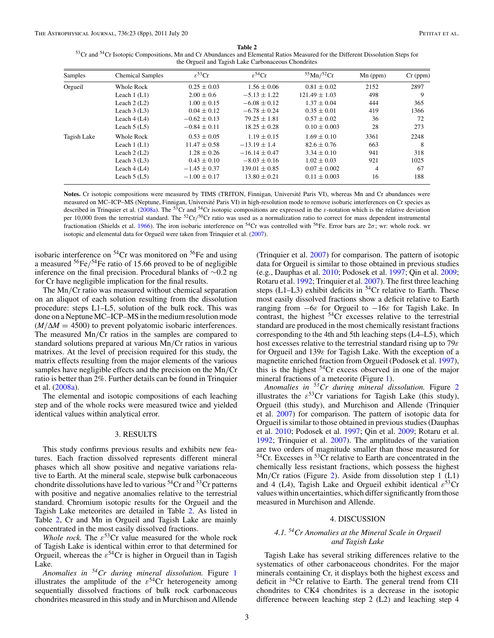**Table 2**<br><sup>53</sup>Cr and <sup>54</sup>Cr Isotopic Compositions, Mn and Cr Abundances and Elemental Ratios Measured for the Different Dissolution Steps for the Orgueil and Tagish Lake Carbonaceous Chondrites

| Samples     | <b>Chemical Samples</b> | $\varepsilon^{53}$ Cr | $\varepsilon^{54}$ Cr | $55$ Mn/ $52$ Cr  | $Mn$ (ppm)     | $Cr$ (ppm) |
|-------------|-------------------------|-----------------------|-----------------------|-------------------|----------------|------------|
| Orgueil     | Whole Rock              | $0.25 \pm 0.03$       | $1.56 \pm 0.06$       | $0.81 \pm 0.02$   | 2152           | 2897       |
|             | Leach $1$ (L1)          | $2.00 \pm 0.6$        | $-5.13 \pm 1.22$      | $121.49 \pm 1.03$ | 498            | 9          |
|             | Leach $2(L2)$           | $1.00 \pm 0.15$       | $-6.08 \pm 0.12$      | $1.37 \pm 0.04$   | 444            | 365        |
|             | Leach $3(L3)$           | $0.04 \pm 0.12$       | $-6.78 \pm 0.24$      | $0.35 \pm 0.01$   | 419            | 1366       |
|             | Leach $4(L4)$           | $-0.62 \pm 0.13$      | $79.25 \pm 1.81$      | $0.57 \pm 0.02$   | 36             | 72         |
|             | Leach $5(L5)$           | $-0.84 \pm 0.11$      | $18.25 \pm 0.28$      | $0.10 \pm 0.003$  | 28             | 273        |
| Tagish Lake | Whole Rock              | $0.53 \pm 0.05$       | $1.19 \pm 0.15$       | $1.69 \pm 0.10$   | 3361           | 2248       |
|             | Leach $1$ (L1)          | $11.47 \pm 0.58$      | $-13.19 \pm 1.4$      | $82.6 \pm 0.76$   | 663            | 8          |
|             | Leach $2(L2)$           | $1.28 \pm 0.26$       | $-16.14 \pm 0.47$     | $3.34 \pm 0.10$   | 941            | 318        |
|             | Leach $3(L3)$           | $0.43 \pm 0.10$       | $-8.03 \pm 0.16$      | $1.02 \pm 0.03$   | 921            | 1025       |
|             | Leach $4(L4)$           | $-1.45 \pm 0.37$      | $139.01 \pm 0.85$     | $0.07 \pm 0.002$  | $\overline{4}$ | 67         |
|             | Leach $5(L5)$           | $-1.00 \pm 0.17$      | $13.80 \pm 0.21$      | $0.11 \pm 0.003$  | 16             | 188        |

Notes. Cr isotopic compositions were measured by TIMS (TRITON, Finnigan, Université Paris VI), whereas Mn and Cr abundances were measured on MC–ICP–MS (Neptune, Finnigan, Université Paris VI) in high-resolution mode to remove isobaric interferences on Cr species as described in Trinquier et al. (2008a). The <sup>53</sup>Cr and <sup>54</sup>Cr isotopic compositions are expressed in the  $\varepsilon$ -notation which is the relative deviation per 10,000 from the terrestrial standard. The <sup>52</sup>Cr/<sup>50</sup>Cr ratio was used as a normalization ratio to correct for mass dependent instrumental fractionation (Shields et al. 1966). The iron isobaric interference on 54Cr was controlled with 56Fe. Error bars are 2*σ*; wr: whole rock. wr isotopic and elemental data for Orgueil were taken from Trinquier et al. (2007).

isobaric interference on  ${}^{54}Cr$  was monitored on  ${}^{56}Fe$  and using a measured 56Fe*/*54Fe ratio of 15.66 proved to be of negligible inference on the final precision. Procedural blanks of ∼0.2 ng for Cr have negligible implication for the final results.

The Mn*/*Cr ratio was measured without chemical separation on an aliquot of each solution resulting from the dissolution procedure: steps L1–L5, solution of the bulk rock. This was done on a Neptune MC–ICP–MS in the medium resolution mode  $(M/\Delta M = 4500)$  to prevent polyatomic isobaric interferences. The measured Mn*/*Cr ratios in the samples are compared to standard solutions prepared at various Mn*/*Cr ratios in various matrixes. At the level of precision required for this study, the matrix effects resulting from the major elements of the various samples have negligible effects and the precision on the Mn*/*Cr ratio is better than 2%. Further details can be found in Trinquier et al. (2008a).

The elemental and isotopic compositions of each leaching step and of the whole rocks were measured twice and yielded identical values within analytical error.

#### 3. RESULTS

This study confirms previous results and exhibits new features. Each fraction dissolved represents different mineral phases which all show positive and negative variations relative to Earth. At the mineral scale, stepwise bulk carbonaceous chondrite dissolutions have led to various  $54$ Cr and  $53$ Cr patterns with positive and negative anomalies relative to the terrestrial standard. Chromium isotopic results for the Orgueil and the Tagish Lake meteorites are detailed in Table 2. As listed in Table 2, Cr and Mn in Orgueil and Tagish Lake are mainly concentrated in the most easily dissolved fractions.

*Whole rock.* The  $\varepsilon^{53}$ Cr value measured for the whole rock of Tagish Lake is identical within error to that determined for Orgueil, whereas the *ε*54Cr is higher in Orgueil than in Tagish Lake.

*Anomalies in 54Cr during mineral dissolution.* Figure 1 illustrates the amplitude of the  $\varepsilon^{54}$ Cr heterogeneity among sequentially dissolved fractions of bulk rock carbonaceous chondrites measured in this study and in Murchison and Allende

(Trinquier et al. 2007) for comparison. The pattern of isotopic data for Orgueil is similar to those obtained in previous studies (e.g., Dauphas et al. 2010; Podosek et al. 1997; Qin et al. 2009; Rotaru et al. 1992; Trinquier et al. 2007). The first three leaching steps (L1–L3) exhibit deficits in  $54Cr$  relative to Earth. These most easily dissolved fractions show a deficit relative to Earth ranging from −6*ε* for Orgueil to −16*ε* for Tagish Lake. In contrast, the highest  $54Cr$  excesses relative to the terrestrial standard are produced in the most chemically resistant fractions corresponding to the 4th and 5th leaching steps (L4–L5), which host excesses relative to the terrestrial standard rising up to 79*ε* for Orgueil and 139*ε* for Tagish Lake. With the exception of a magnetite enriched fraction from Orgueil (Podosek et al. 1997), this is the highest  $54Cr$  excess observed in one of the major mineral fractions of a meteorite (Figure 1).

*Anomalies in 53Cr during mineral dissolution.* Figure 2 illustrates the  $\varepsilon^{53}$ Cr variations for Tagish Lake (this study), Orgueil (this study), and Murchison and Allende (Trinquier et al. 2007) for comparison. The pattern of isotopic data for Orgueil is similar to those obtained in previous studies (Dauphas et al. 2010; Podosek et al. 1997; Qin et al. 2009; Rotaru et al. 1992; Trinquier et al. 2007). The amplitudes of the variation are two orders of magnitude smaller than those measured for  $54$ Cr. Excesses in  $53$ Cr relative to Earth are concentrated in the chemically less resistant fractions, which possess the highest Mn*/*Cr ratios (Figure 2). Aside from dissolution step 1 (L1) and 4 (L4), Tagish Lake and Orgueil exhibit identical  $\varepsilon^{53}$ Cr values within uncertainties, which differ significantly from those measured in Murchison and Allende.

#### 4. DISCUSSION

#### *4.1. 54Cr Anomalies at the Mineral Scale in Orgueil and Tagish Lake*

Tagish Lake has several striking differences relative to the systematics of other carbonaceous chondrites. For the major minerals containing Cr, it displays both the highest excess and deficit in <sup>54</sup>Cr relative to Earth. The general trend from CI1 chondrites to CK4 chondrites is a decrease in the isotopic difference between leaching step 2 (L2) and leaching step 4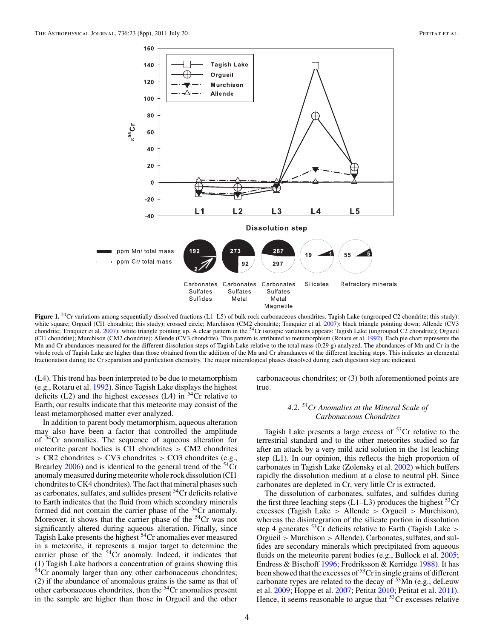

**Figure 1.** <sup>54</sup>Cr variations among sequentially dissolved fractions (L1–L5) of bulk rock carbonaceous chondrites. Tagish Lake (ungrouped C2 chondrite; this study): white square; Orgueil (CI1 chondrite; this study): crossed circle; Murchison (CM2 chondrite; Trinquier et al. 2007): black triangle pointing down; Allende (CV3 chondrite; Trinquier et al. 2007): white triangle pointing up. (CI1 chondrite); Murchison (CM2 chondrite); Allende (CV3 chondrite). This pattern is attributed to metamorphism (Rotaru et al. 1992). Each pie chart represents the Mn and Cr abundances measured for the different dissolution steps of Tagish Lake relative to the total mass (0.29 g) analyzed. The abundances of Mn and Cr in the whole rock of Tagish Lake are higher than those obtained from the addition of the Mn and Cr abundances of the different leaching steps. This indicates an elemental fractionation during the Cr separation and purification chemistry. The major mineralogical phases dissolved during each digestion step are indicated.

(L4). This trend has been interpreted to be due to metamorphism (e.g., Rotaru et al. 1992). Since Tagish Lake displays the highest deficits  $(L2)$  and the highest excesses  $(L4)$  in <sup>54</sup>Cr relative to Earth, our results indicate that this meteorite may consist of the least metamorphosed matter ever analyzed.

In addition to parent body metamorphism, aqueous alteration may also have been a factor that controlled the amplitude of  $54$ Cr anomalies. The sequence of aqueous alteration for meteorite parent bodies is CI1 chondrites *>* CM2 chondrites *>* CR2 chondrites *>* CV3 chondrites *>* CO3 chondrites (e.g., Brearley  $2006$ ) and is identical to the general trend of the  $54Cr$ anomaly measured during meteorite whole rock dissolution (CI1 chondrites to CK4 chondrites). The fact that mineral phases such as carbonates, sulfates, and sulfides present  $54$ Cr deficits relative to Earth indicates that the fluid from which secondary minerals formed did not contain the carrier phase of the <sup>54</sup>Cr anomaly. Moreover, it shows that the carrier phase of the  $54$ Cr was not significantly altered during aqueous alteration. Finally, since Tagish Lake presents the highest 54Cr anomalies ever measured in a meteorite, it represents a major target to determine the carrier phase of the  $54$ Cr anomaly. Indeed, it indicates that (1) Tagish Lake harbors a concentration of grains showing this  $54$ Cr anomaly larger than any other carbonaceous chondrites; (2) if the abundance of anomalous grains is the same as that of other carbonaceous chondrites, then the 54Cr anomalies present in the sample are higher than those in Orgueil and the other carbonaceous chondrites; or (3) both aforementioned points are true.

#### *4.2. 53Cr Anomalies at the Mineral Scale of Carbonaceous Chondrites*

Tagish Lake presents a large excess of  $53Cr$  relative to the terrestrial standard and to the other meteorites studied so far after an attack by a very mild acid solution in the 1st leaching step (L1). In our opinion, this reflects the high proportion of carbonates in Tagish Lake (Zolensky et al. 2002) which buffers rapidly the dissolution medium at a close to neutral pH. Since carbonates are depleted in Cr, very little Cr is extracted.

The dissolution of carbonates, sulfates, and sulfides during the first three leaching steps  $(L1-L3)$  produces the highest  ${}^{53}Cr$ excesses (Tagish Lake *>* Allende *>* Orgueil *>* Murchison), whereas the disintegration of the silicate portion in dissolution step 4 generates 53Cr deficits relative to Earth (Tagish Lake *>* Orgueil *>* Murchison *>* Allende). Carbonates, sulfates, and sulfides are secondary minerals which precipitated from aqueous fluids on the meteorite parent bodies (e.g., Bullock et al. 2005; Endress & Bischoff 1996; Fredriksson & Kerridge 1988). It has been showed that the excesses of  $53$ Cr in single grains of different carbonate types are related to the decay of  $53\text{Mn}$  (e.g., deLeuw et al. 2009; Hoppe et al. 2007; Petitat 2010; Petitat et al. 2011). Hence, it seems reasonable to argue that  $53Cr$  excesses relative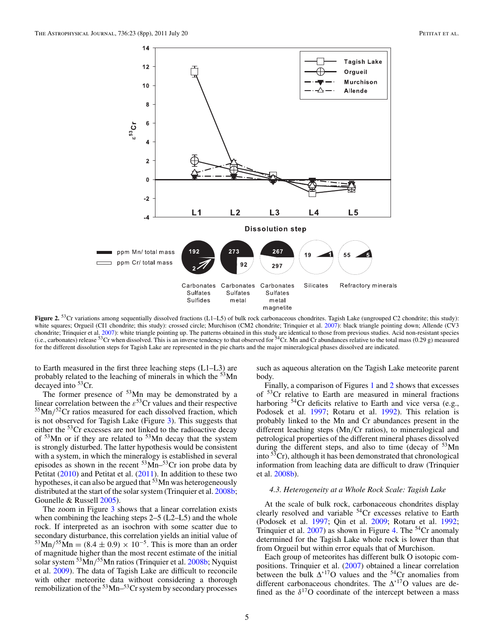

Figure 2. <sup>53</sup>Cr variations among sequentially dissolved fractions (L1–L5) of bulk rock carbonaceous chondrites. Tagish Lake (ungrouped C2 chondrite; this study): white squares; Orgueil (CI1 chondrite; this study): crossed circle; Murchison (CM2 chondrite; Trinquier et al. 2007): black triangle pointing down; Allende (CV3 chondrite; Trinquier et al. 2007): white triangle pointing up. The patterns obtained in this study are identical to those from previous studies. Acid non-resistant species<br>(i.e., carbonates) release <sup>53</sup>Cr when dissolved. for the different dissolution steps for Tagish Lake are represented in the pie charts and the major mineralogical phases dissolved are indicated.

to Earth measured in the first three leaching steps (L1–L3) are probably related to the leaching of minerals in which the 53Mn decayed into  ${}^{53}Cr$ .

The former presence of  $53$ Mn may be demonstrated by a linear correlation between the  $\varepsilon$ <sup>53</sup>Cr values and their respective 55Mn*/*52Cr ratios measured for each dissolved fraction, which is not observed for Tagish Lake (Figure 3). This suggests that either the 53Cr excesses are not linked to the radioactive decay of <sup>53</sup>Mn or if they are related to <sup>53</sup>Mn decay that the system is strongly disturbed. The latter hypothesis would be consistent with a system, in which the mineralogy is established in several episodes as shown in the recent  $53\text{Mn}$ – $53\text{Cr}$  ion probe data by Petitat (2010) and Petitat et al. (2011). In addition to these two hypotheses, it can also be argued that  $53$  Mn was heterogeneously distributed at the start of the solar system (Trinquier et al. 2008b; Gounelle & Russell 2005).

The zoom in Figure 3 shows that a linear correlation exists when combining the leaching steps 2–5 (L2–L5) and the whole rock. If interpreted as an isochron with some scatter due to secondary disturbance, this correlation yields an initial value of  $^{53}$ Mn/<sup>55</sup>Mn = (8.4 ± 0.9) × 10<sup>-5</sup>. This is more than an order of magnitude higher than the most recent estimate of the initial solar system 53Mn*/*55Mn ratios (Trinquier et al. 2008b; Nyquist et al. 2009). The data of Tagish Lake are difficult to reconcile with other meteorite data without considering a thorough remobilization of the  $53$  Mn– $53$ Cr system by secondary processes

such as aqueous alteration on the Tagish Lake meteorite parent body.

Finally, a comparison of Figures 1 and 2 shows that excesses of 53Cr relative to Earth are measured in mineral fractions harboring <sup>54</sup>Cr deficits relative to Earth and vice versa (e.g., Podosek et al. 1997; Rotaru et al. 1992). This relation is probably linked to the Mn and Cr abundances present in the different leaching steps (Mn*/*Cr ratios), to mineralogical and petrological properties of the different mineral phases dissolved during the different steps, and also to time (decay of <sup>53</sup>Mn into  $5\overline{3}$ Cr), although it has been demonstrated that chronological information from leaching data are difficult to draw (Trinquier et al. 2008b).

#### *4.3. Heterogeneity at a Whole Rock Scale: Tagish Lake*

At the scale of bulk rock, carbonaceous chondrites display clearly resolved and variable 54Cr excesses relative to Earth (Podosek et al. 1997; Qin et al. 2009; Rotaru et al. 1992; Trinquier et al.  $2007$ ) as shown in Figure 4. The <sup>54</sup>Cr anomaly determined for the Tagish Lake whole rock is lower than that from Orgueil but within error equals that of Murchison.

Each group of meteorites has different bulk O isotopic compositions. Trinquier et al. (2007) obtained a linear correlation between the bulk  $\Delta$ <sup>17</sup>O values and the <sup>54</sup>Cr anomalies from different carbonaceous chondrites. The  $\Delta$ <sup>17</sup>O values are defined as the  $\delta^{17}$ O coordinate of the intercept between a mass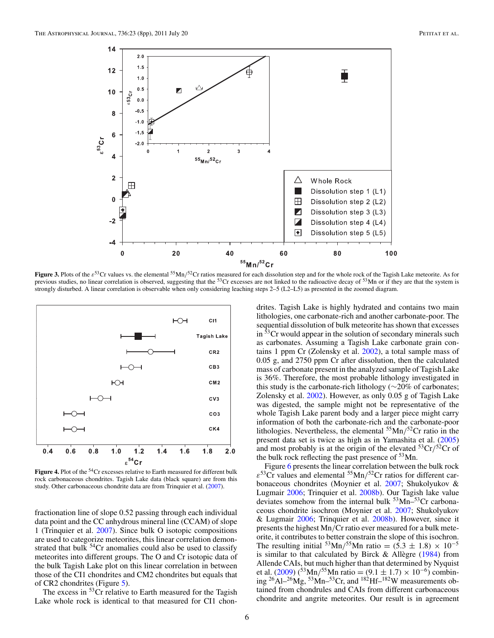

**Figure 3.** Plots of the *ε*<sup>53</sup>Cr values vs. the elemental <sup>55</sup>Mn/<sup>52</sup>Cr ratios measured for each dissolution step and for the whole rock of the Tagish Lake meteorite. As for previous studies, no linear correlation is observed, suggesting that the  $53Cr$  excesses are not linked to the radioactive decay of  $53Mn$  or if they are that the system is strongly disturbed. A linear correlation is observable when only considering leaching steps 2–5 (L2–L5) as presented in the zoomed diagram.



**Figure 4.** Plot of the <sup>54</sup>Cr excesses relative to Earth measured for different bulk rock carbonaceous chondrites. Tagish Lake data (black square) are from this study. Other carbonaceous chondrite data are from Trinquier et al. (2007).

fractionation line of slope 0.52 passing through each individual data point and the CC anhydrous mineral line (CCAM) of slope 1 (Trinquier et al. 2007). Since bulk O isotopic compositions are used to categorize meteorites, this linear correlation demonstrated that bulk  $54$ Cr anomalies could also be used to classify meteorites into different groups. The O and Cr isotopic data of the bulk Tagish Lake plot on this linear correlation in between those of the CI1 chondrites and CM2 chondrites but equals that of CR2 chondrites (Figure 5).

The excess in <sup>53</sup>Cr relative to Earth measured for the Tagish Lake whole rock is identical to that measured for CI1 chon-

drites. Tagish Lake is highly hydrated and contains two main lithologies, one carbonate-rich and another carbonate-poor. The sequential dissolution of bulk meteorite has shown that excesses in <sup>53</sup>Cr would appear in the solution of secondary minerals such as carbonates. Assuming a Tagish Lake carbonate grain contains 1 ppm Cr (Zolensky et al. 2002), a total sample mass of 0.05 g, and 2750 ppm Cr after dissolution, then the calculated mass of carbonate present in the analyzed sample of Tagish Lake is 36%. Therefore, the most probable lithology investigated in this study is the carbonate-rich lithology ( $\sim$ 20% of carbonates; Zolensky et al. 2002). However, as only 0.05 g of Tagish Lake was digested, the sample might not be representative of the whole Tagish Lake parent body and a larger piece might carry information of both the carbonate-rich and the carbonate-poor lithologies. Nevertheless, the elemental 55Mn*/*52Cr ratio in the present data set is twice as high as in Yamashita et al. (2005) and most probably is at the origin of the elevated  ${}^{53}Cr/{}^{52}Cr$  of the bulk rock reflecting the past presence of  $53$ Mn.

Figure 6 presents the linear correlation between the bulk rock *ε*53Cr values and elemental 55Mn*/*52Cr ratios for different carbonaceous chondrites (Moynier et al. 2007; Shukolyukov & Lugmair 2006; Trinquier et al. 2008b). Our Tagish lake value deviates somehow from the internal bulk  $53$  Mn– $53$ Cr carbonaceous chondrite isochron (Moynier et al. 2007; Shukolyukov & Lugmair 2006; Trinquier et al. 2008b). However, since it presents the highest Mn*/*Cr ratio ever measured for a bulk meteorite, it contributes to better constrain the slope of this isochron. The resulting initial <sup>53</sup>Mn/<sup>55</sup>Mn ratio =  $(5.3 \pm 1.8) \times 10^{-5}$ is similar to that calculated by Birck  $&$  Allègre (1984) from Allende CAIs, but much higher than that determined by Nyquist et al. (2009) (<sup>53</sup>Mn/<sup>55</sup>Mn ratio = (9.1 ± 1.7) × 10<sup>-6</sup>) combin-<br>ing <sup>26</sup>Al<sup>-26</sup>Mg, <sup>53</sup>Mn<sup>-53</sup>Cr, and <sup>182</sup>Hf<sup>-182</sup>W measurements obtained from chondrules and CAIs from different carbonaceous chondrite and angrite meteorites. Our result is in agreement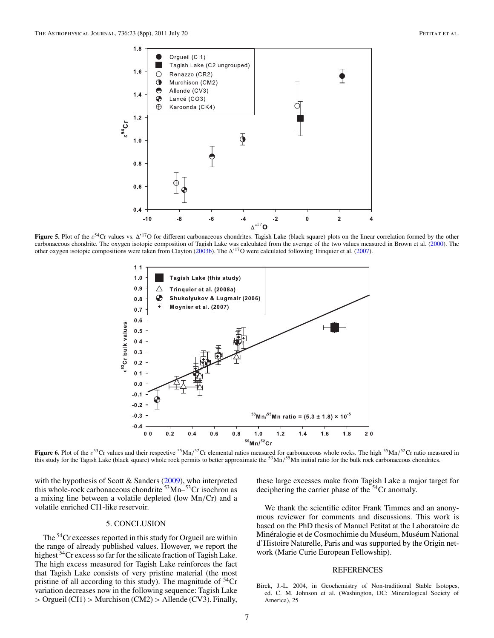

**Figure 5.** Plot of the *ε*<sup>54</sup>Cr values vs. Δ'<sup>17</sup>O for different carbonaceous chondrites. Tagish Lake (black square) plots on the linear correlation formed by the other carbonaceous chondrite. The oxygen isotopic composition of Tagish Lake was calculated from the average of the two values measured in Brown et al. (2000). The other oxygen isotopic compositions were taken from Clayton (2003b). The  $\Delta^{17}$ O were calculated following Trinquier et al. (2007).



**Figure 6.** Plot of the *ε*53Cr values and their respective 55Mn*/*52Cr elemental ratios measured for carbonaceous whole rocks. The high 55Mn*/*52Cr ratio measured in this study for the Tagish Lake (black square) whole rock permits to better approximate the 53Mn*/*55Mn initial ratio for the bulk rock carbonaceous chondrites.

with the hypothesis of Scott & Sanders (2009), who interpreted this whole-rock carbonaceous chondrite  $53$  Mn– $53$ Cr isochron as a mixing line between a volatile depleted (low Mn*/*Cr) and a volatile enriched CI1-like reservoir.

#### 5. CONCLUSION

The <sup>54</sup>Cr excesses reported in this study for Orgueil are within the range of already published values. However, we report the highest <sup>54</sup>Cr excess so far for the silicate fraction of Tagish Lake. The high excess measured for Tagish Lake reinforces the fact that Tagish Lake consists of very pristine material (the most pristine of all according to this study). The magnitude of  $54Cr$ variation decreases now in the following sequence: Tagish Lake *>* Orgueil (CI1) *>* Murchison (CM2) *>* Allende (CV3). Finally,

these large excesses make from Tagish Lake a major target for deciphering the carrier phase of the <sup>54</sup>Cr anomaly.

We thank the scientific editor Frank Timmes and an anonymous reviewer for comments and discussions. This work is based on the PhD thesis of Manuel Petitat at the Laboratoire de Minéralogie et de Cosmochimie du Muséum, Muséum National d'Histoire Naturelle, Paris and was supported by the Origin network (Marie Curie European Fellowship).

#### REFERENCES

Birck, J.-L. 2004, in Geochemistry of Non-traditional Stable Isotopes, ed. C. M. Johnson et al. (Washington, DC: Mineralogical Society of America), 25